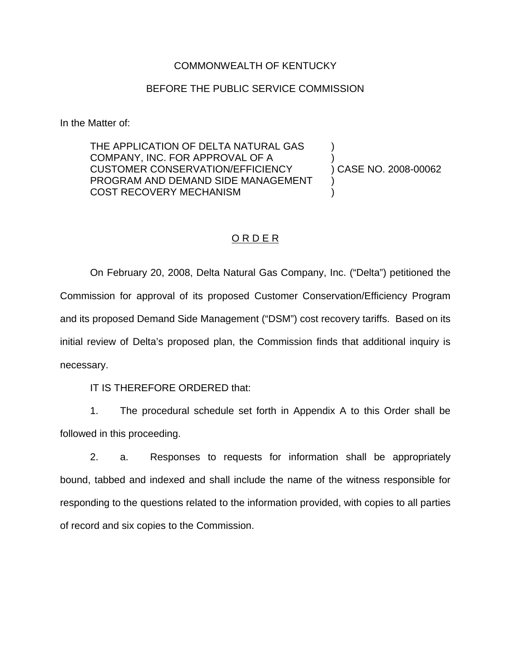### COMMONWEALTH OF KENTUCKY

#### BEFORE THE PUBLIC SERVICE COMMISSION

In the Matter of:

THE APPLICATION OF DELTA NATURAL GAS COMPANY, INC. FOR APPROVAL OF A CUSTOMER CONSERVATION/EFFICIENCY PROGRAM AND DEMAND SIDE MANAGEMENT COST RECOVERY MECHANISM

) ) CASE NO. 2008-00062

)

) )

### O R D E R

On February 20, 2008, Delta Natural Gas Company, Inc. ("Delta") petitioned the Commission for approval of its proposed Customer Conservation/Efficiency Program and its proposed Demand Side Management ("DSM") cost recovery tariffs. Based on its initial review of Delta's proposed plan, the Commission finds that additional inquiry is necessary.

IT IS THEREFORE ORDERED that:

1. The procedural schedule set forth in Appendix A to this Order shall be followed in this proceeding.

2. a. Responses to requests for information shall be appropriately bound, tabbed and indexed and shall include the name of the witness responsible for responding to the questions related to the information provided, with copies to all parties of record and six copies to the Commission.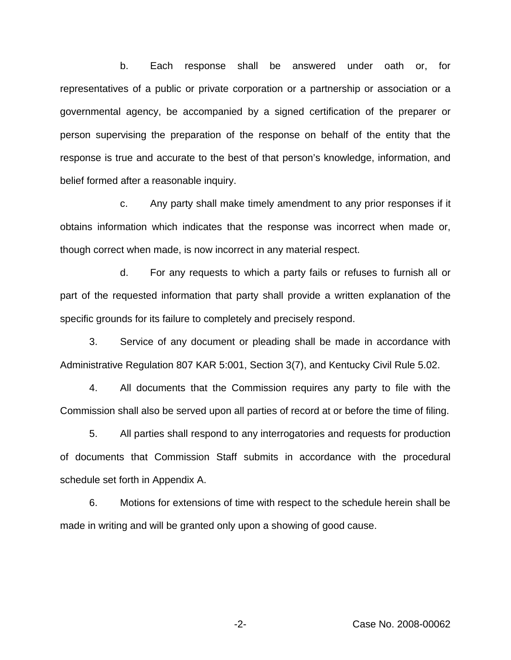b. Each response shall be answered under oath or, for representatives of a public or private corporation or a partnership or association or a governmental agency, be accompanied by a signed certification of the preparer or person supervising the preparation of the response on behalf of the entity that the response is true and accurate to the best of that person's knowledge, information, and belief formed after a reasonable inquiry.

c. Any party shall make timely amendment to any prior responses if it obtains information which indicates that the response was incorrect when made or, though correct when made, is now incorrect in any material respect.

d. For any requests to which a party fails or refuses to furnish all or part of the requested information that party shall provide a written explanation of the specific grounds for its failure to completely and precisely respond.

3. Service of any document or pleading shall be made in accordance with Administrative Regulation 807 KAR 5:001, Section 3(7), and Kentucky Civil Rule 5.02.

4. All documents that the Commission requires any party to file with the Commission shall also be served upon all parties of record at or before the time of filing.

5. All parties shall respond to any interrogatories and requests for production of documents that Commission Staff submits in accordance with the procedural schedule set forth in Appendix A.

6. Motions for extensions of time with respect to the schedule herein shall be made in writing and will be granted only upon a showing of good cause.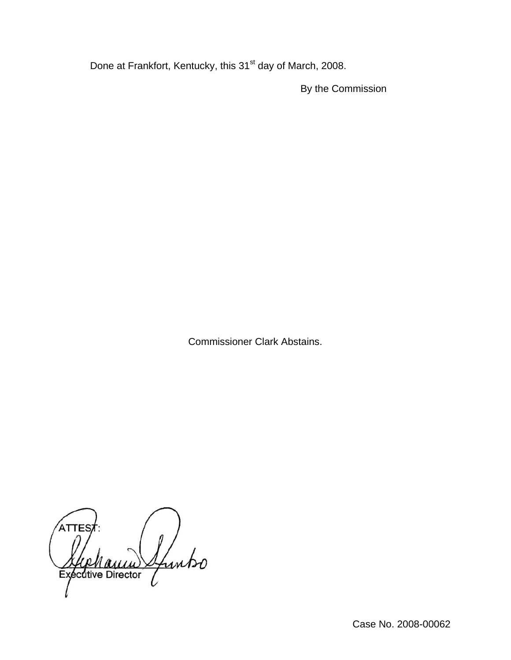Done at Frankfort, Kentucky, this 31<sup>st</sup> day of March, 2008.

By the Commission

Commissioner Clark Abstains.

ATTES Sfuntso **Exécutive Director**